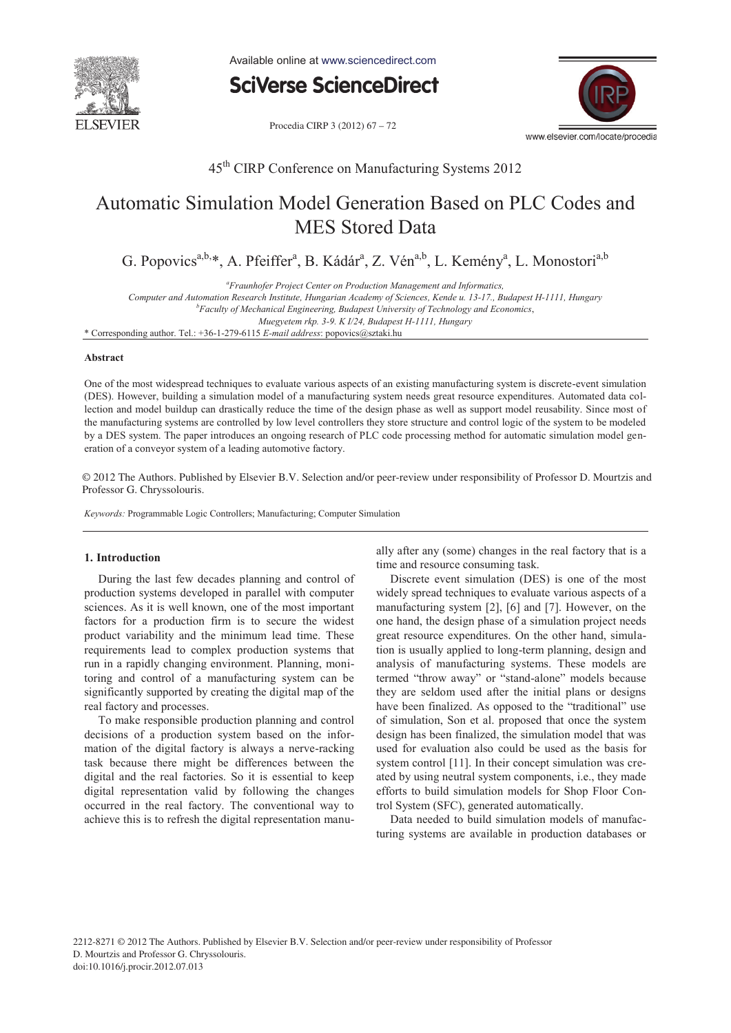

Available online at www.sciencedirect.com

**SciVerse ScienceDirect** 

Procedia CIRP 3 (2012) 67 - 72



45th CIRP Conference on Manufacturing Systems 2012

# Automatic Simulation Model Generation Based on PLC Codes and MES Stored Data

G. Popovics<sup>a,b,\*</sup>, A. Pfeiffer<sup>a</sup>, B. Kádár<sup>a</sup>, Z. Vén<sup>a,b</sup>, L. Kemény<sup>a</sup>, L. Monostori<sup>a,b</sup>

*a Fraunhofer Project Center on Production Management and Informatics,* 

*Computer and Automation Research Institute, Hungarian Academy of Sciences, Kende u. 13-17., Budapest H-1111, Hungary b*

*Faculty of Mechanical Engineering, Budapest University of Technology and Economics*,

*Muegyetem rkp. 3-9. K I/24, Budapest H-1111, Hungary* 

\* Corresponding author. Tel.: +36-1-279-6115 *E-mail address*: popovics@sztaki.hu

#### **Abstract**

One of the most widespread techniques to evaluate various aspects of an existing manufacturing system is discrete-event simulation (DES). However, building a simulation model of a manufacturing system needs great resource expenditures. Automated data collection and model buildup can drastically reduce the time of the design phase as well as support model reusability. Since most of the manufacturing systems are controlled by low level controllers they store structure and control logic of the system to be modeled by a DES system. The paper introduces an ongoing research of PLC code processing method for automatic simulation model generation of a conveyor system of a leading automotive factory.

© 2012 The Authors. Published by Elsevier B.V. Selection and/or peer-review under responsibility of Professor D. Mourtzis and Professor G. Chryssolouris. Professor G. Chryssolouris.

*Keywords:* Programmable Logic Controllers; Manufacturing; Computer Simulation

#### **1. Introduction**

During the last few decades planning and control of production systems developed in parallel with computer sciences. As it is well known, one of the most important factors for a production firm is to secure the widest product variability and the minimum lead time. These requirements lead to complex production systems that run in a rapidly changing environment. Planning, monitoring and control of a manufacturing system can be significantly supported by creating the digital map of the real factory and processes.

To make responsible production planning and control decisions of a production system based on the information of the digital factory is always a nerve-racking task because there might be differences between the digital and the real factories. So it is essential to keep digital representation valid by following the changes occurred in the real factory. The conventional way to achieve this is to refresh the digital representation manually after any (some) changes in the real factory that is a time and resource consuming task.

Discrete event simulation (DES) is one of the most widely spread techniques to evaluate various aspects of a manufacturing system [2], [6] and [7]. However, on the one hand, the design phase of a simulation project needs great resource expenditures. On the other hand, simulation is usually applied to long-term planning, design and analysis of manufacturing systems. These models are termed "throw away" or "stand-alone" models because they are seldom used after the initial plans or designs have been finalized. As opposed to the "traditional" use of simulation, Son et al. proposed that once the system design has been finalized, the simulation model that was used for evaluation also could be used as the basis for system control [11]. In their concept simulation was created by using neutral system components, i.e., they made efforts to build simulation models for Shop Floor Control System (SFC), generated automatically.

Data needed to build simulation models of manufacturing systems are available in production databases or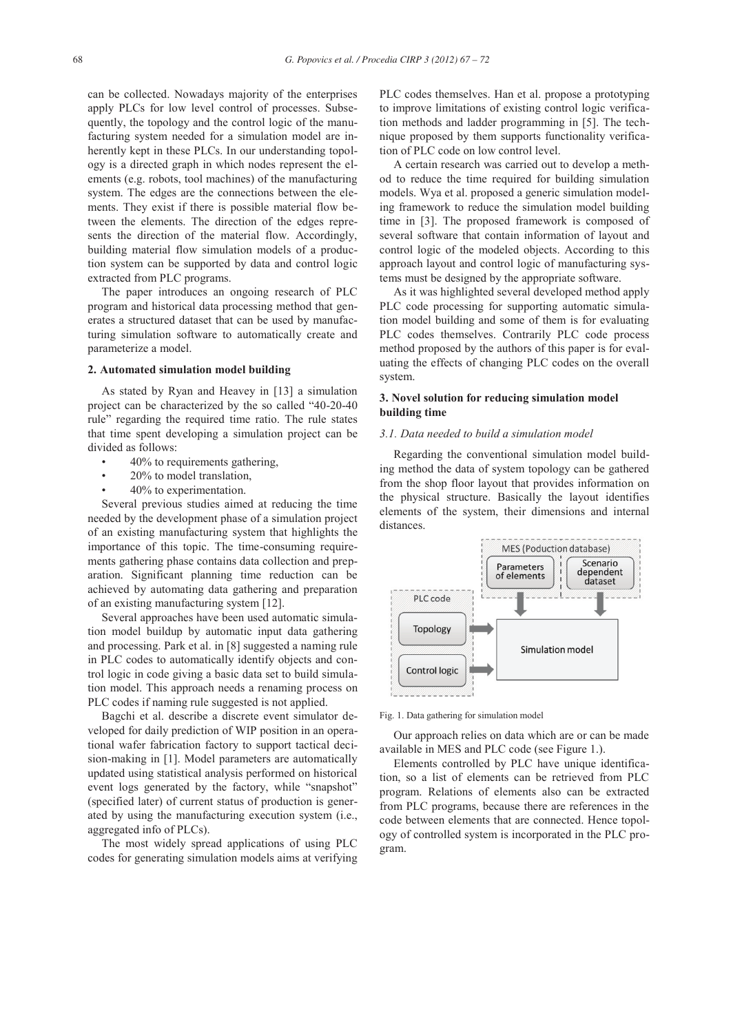can be collected. Nowadays majority of the enterprises apply PLCs for low level control of processes. Subsequently, the topology and the control logic of the manufacturing system needed for a simulation model are inherently kept in these PLCs. In our understanding topology is a directed graph in which nodes represent the elements (e.g. robots, tool machines) of the manufacturing system. The edges are the connections between the elements. They exist if there is possible material flow between the elements. The direction of the edges represents the direction of the material flow. Accordingly, building material flow simulation models of a production system can be supported by data and control logic extracted from PLC programs.

The paper introduces an ongoing research of PLC program and historical data processing method that generates a structured dataset that can be used by manufacturing simulation software to automatically create and parameterize a model.

## **2. Automated simulation model building**

As stated by Ryan and Heavey in [13] a simulation project can be characterized by the so called "40-20-40 rule" regarding the required time ratio. The rule states that time spent developing a simulation project can be divided as follows:

- 40% to requirements gathering,
- 20% to model translation,
- 40% to experimentation.

Several previous studies aimed at reducing the time needed by the development phase of a simulation project of an existing manufacturing system that highlights the importance of this topic. The time-consuming requirements gathering phase contains data collection and preparation. Significant planning time reduction can be achieved by automating data gathering and preparation of an existing manufacturing system [12].

Several approaches have been used automatic simulation model buildup by automatic input data gathering and processing. Park et al. in [8] suggested a naming rule in PLC codes to automatically identify objects and control logic in code giving a basic data set to build simulation model. This approach needs a renaming process on PLC codes if naming rule suggested is not applied.

Bagchi et al. describe a discrete event simulator developed for daily prediction of WIP position in an operational wafer fabrication factory to support tactical decision-making in [1]. Model parameters are automatically updated using statistical analysis performed on historical event logs generated by the factory, while "snapshot" (specified later) of current status of production is generated by using the manufacturing execution system (i.e., aggregated info of PLCs).

The most widely spread applications of using PLC codes for generating simulation models aims at verifying PLC codes themselves. Han et al. propose a prototyping to improve limitations of existing control logic verification methods and ladder programming in [5]. The technique proposed by them supports functionality verification of PLC code on low control level.

A certain research was carried out to develop a method to reduce the time required for building simulation models. Wya et al. proposed a generic simulation modeling framework to reduce the simulation model building time in [3]. The proposed framework is composed of several software that contain information of layout and control logic of the modeled objects. According to this approach layout and control logic of manufacturing systems must be designed by the appropriate software.

As it was highlighted several developed method apply PLC code processing for supporting automatic simulation model building and some of them is for evaluating PLC codes themselves. Contrarily PLC code process method proposed by the authors of this paper is for evaluating the effects of changing PLC codes on the overall system.

## **3. Novel solution for reducing simulation model building time**

## *3.1. Data needed to build a simulation model*

Regarding the conventional simulation model building method the data of system topology can be gathered from the shop floor layout that provides information on the physical structure. Basically the layout identifies elements of the system, their dimensions and internal distances.



Fig. 1. Data gathering for simulation model

Our approach relies on data which are or can be made available in MES and PLC code (see Figure 1.).

Elements controlled by PLC have unique identification, so a list of elements can be retrieved from PLC program. Relations of elements also can be extracted from PLC programs, because there are references in the code between elements that are connected. Hence topology of controlled system is incorporated in the PLC program.